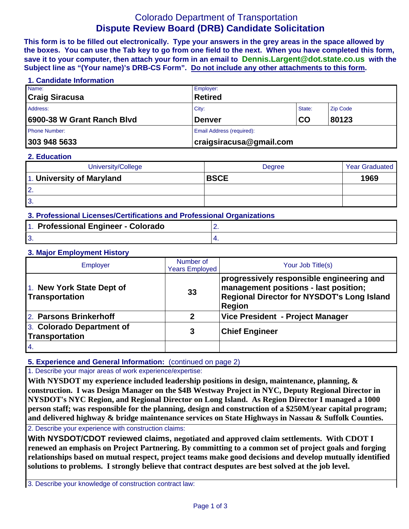# Colorado Department of Transportation **Dispute Review Board (DRB) Candidate Solicitation**

**This form is to be filled out electronically. Type your answers in the grey areas in the space allowed by the boxes. You can use the Tab key to go from one field to the next. When you have completed this form, save it to your computer, then attach your form in an email to Dennis.Largent@dot.state.co.us with the Subject line as "(Your name)'s DRB-CS Form". Do not include any other attachments to this form.**

## **1. Candidate Information**

| Name:                      | Employer:                   |        |                 |
|----------------------------|-----------------------------|--------|-----------------|
| <b>Craig Siracusa</b>      | <b>Retired</b>              |        |                 |
| Address:                   | City:                       | State: | <b>Zip Code</b> |
| 6900-38 W Grant Ranch Blvd | CO<br><b>Denver</b>         |        | 80123           |
| <b>Phone Number:</b>       | Email Address (required):   |        |                 |
| 303 948 5633               | $ $ craigsiracusa@gmail.com |        |                 |

#### **2. Education**

| University/College        | Degree      | <b>Year Graduated</b> |
|---------------------------|-------------|-----------------------|
| 1. University of Maryland | <b>BSCE</b> | 1969                  |
| <sup>2.</sup>             |             |                       |
| <sup>3.</sup>             |             |                       |

| 3. Professional Licenses/Certifications and Professional Organizations |                                     |  |  |
|------------------------------------------------------------------------|-------------------------------------|--|--|
|                                                                        | L. Basfassismal Empiresa - Astanada |  |  |

| 1. Professional Engineer - Colorado |  |
|-------------------------------------|--|
|                                     |  |

### **3. Major Employment History**

| Employer                                    | Number of<br><b>Years Employed</b> | Your Job Title(s)                                                                                                                                 |
|---------------------------------------------|------------------------------------|---------------------------------------------------------------------------------------------------------------------------------------------------|
| 1. New York State Dept of<br>Transportation | 33                                 | progressively responsible engineering and<br>management positions - last position;<br>Regional Director for NYSDOT's Long Island<br><b>Region</b> |
| 2. Parsons Brinkerhoff                      | 2                                  | Vice President - Project Manager                                                                                                                  |
| 3. Colorado Department of<br>Transportation | 3                                  | <b>Chief Engineer</b>                                                                                                                             |
| 4.                                          |                                    |                                                                                                                                                   |

## **5. Experience and General Information:** (continued on page 2)

1. Describe your major areas of work experience/expertise:

**With NYSDOT my experience included leadership positions in design, maintenance, planning, & construction. I was Design Manager on the \$4B Westway Project in NYC, Deputy Regional Director in NYSDOT's NYC Region, and Regional Director on Long Island. As Region Director I managed a 1000 person staff; was responsible for the planning, design and construction of a \$250M/year capital program; and delivered highway & bridge maintenance services on State Highways in Nassau & Suffolk Counties.** 

2. Describe your experience with construction claims:

**With NYSDOT/CDOT reviewed claims, negotiated and approved claim settlements. With CDOT I renewed an emphasis on Project Partnering. By committing to a common set of project goals and forging relationships based on mutual respect, project teams make good decisions and develop mutually identified solutions to problems. I strongly believe that contract desputes are best solved at the job level.**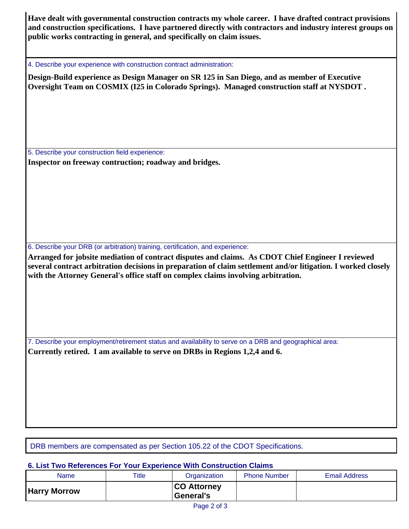**Have dealt with governmental construction contracts my whole career. I have drafted contract provisions and construction specifications. I have partnered directly with contractors and industry interest groups on public works contracting in general, and specifically on claim issues.** 

4. Describe your experience with construction contract administration:

**Design-Build experience as Design Manager on SR 125 in San Diego, and as member of Executive Oversight Team on COSMIX (I25 in Colorado Springs). Managed construction staff at NYSDOT .**

5. Describe your construction field experience: **Inspector on freeway contruction; roadway and bridges.**

6. Describe your DRB (or arbitration) training, certification, and experience:

**Arranged for jobsite mediation of contract disputes and claims. As CDOT Chief Engineer I reviewed several contract arbitration decisions in preparation of claim settlement and/or litigation. I worked closely with the Attorney General's office staff on complex claims involving arbitration.**

7. Describe your employment/retirement status and availability to serve on a DRB and geographical area: **Currently retired. I am available to serve on DRBs in Regions 1,2,4 and 6.**

DRB members are compensated as per Section 105.22 of the CDOT Specifications.

## **6. List Two References For Your Experience With Construction Claims**

| <b>Name</b>         | Title | Organization                     | <b>Phone Number</b> | <b>Email Address</b> |
|---------------------|-------|----------------------------------|---------------------|----------------------|
| <b>Harry Morrow</b> |       | <b>CO Attorney</b><br> General's |                     |                      |